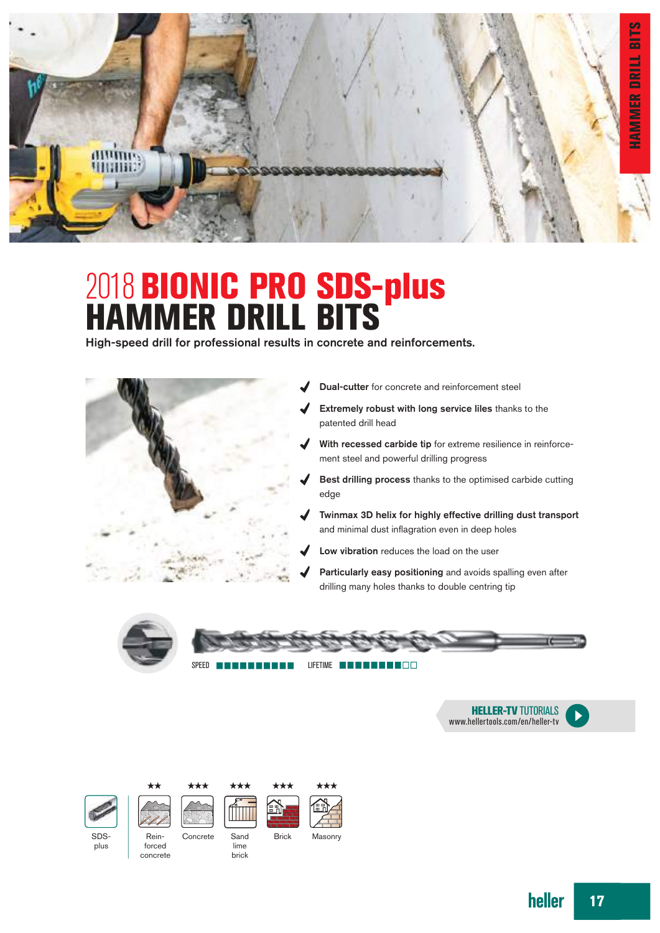

# 2018 BIONIC PRO SDS-plus HAMMER DRILL BITS

High-speed drill for professional results in concrete and reinforcements.



- Dual-cutter for concrete and reinforcement steel
- Extremely robust with long service liles thanks to the patented drill head
- With recessed carbide tip for extreme resilience in reinforcement steel and powerful drilling progress
- Best drilling process thanks to the optimised carbide cutting edge
- Twinmax 3D helix for highly effective drilling dust transport and minimal dust inflagration even in deep holes
- Low vibration reduces the load on the user
- Particularly easy positioning and avoids spalling even after drilling many holes thanks to double centring tip





SPEED **LIFETIME LIFETIME LIFETIME LIFETIME LIFETIME LIFETIME LIFETIME LIFETIME LIFETIME LIFETIME LIFETIME LIFETIME** 















lime brick

Rein- Concrete Sand Brick Masonry



heller 17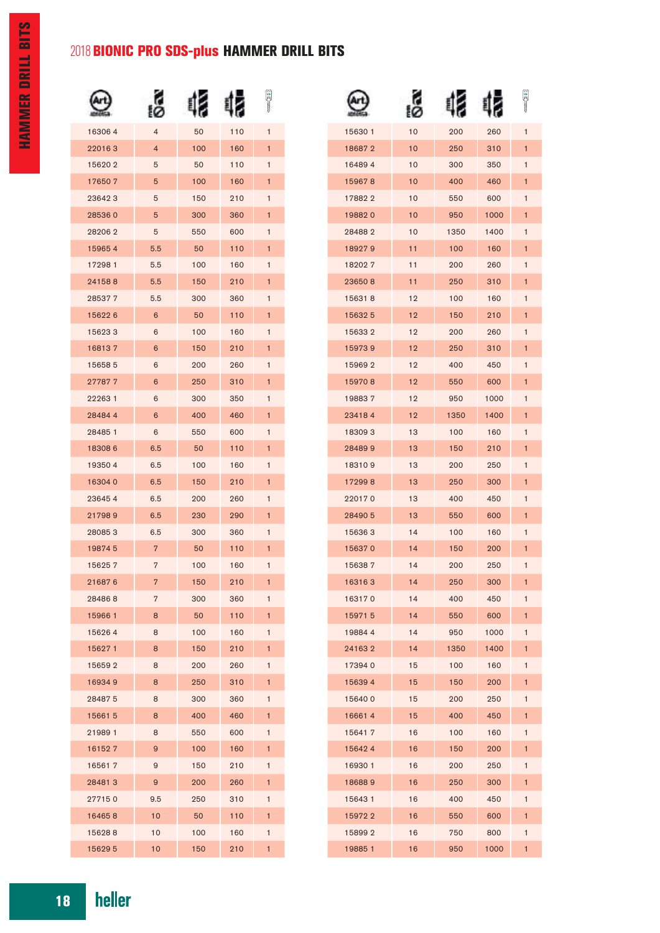## 2018 BIONIC PRO SDS-plus HAMMER DRILL BITS

|        |                |     |     | ă            |
|--------|----------------|-----|-----|--------------|
| 163064 | $\overline{4}$ | 50  | 110 | $\mathbf{1}$ |
| 220163 | $\overline{4}$ | 100 | 160 | 1            |
| 156202 | 5              | 50  | 110 | 1            |
| 176507 | 5              | 100 | 160 | 1            |
| 236423 | 5              | 150 | 210 | 1            |
| 285360 | 5              | 300 | 360 | $\mathbf{1}$ |
| 282062 | 5              | 550 | 600 | 1            |
| 159654 | 5.5            | 50  | 110 | 1            |
| 172981 | 5.5            | 100 | 160 | 1            |
| 241588 | 5.5            | 150 | 210 | 1            |
| 285377 | 5.5            | 300 | 360 | 1            |
| 156226 | 6              | 50  | 110 | 1            |
| 156233 | 6              | 100 | 160 | 1            |
| 168137 | 6              | 150 | 210 | 1            |
| 156585 | 6              | 200 | 260 | 1            |
| 277877 | 6              | 250 | 310 | 1            |
| 222631 | 6              | 300 | 350 | 1            |
| 284844 | 6              | 400 | 460 | 1            |
| 284851 | 6              | 550 | 600 | 1            |
| 183086 | 6.5            | 50  | 110 | 1            |
| 193504 | 6.5            | 100 | 160 | 1            |
| 163040 | 6.5            | 150 | 210 | 1            |
| 236454 | 6.5            | 200 | 260 | 1            |
| 217989 | 6.5            | 230 | 290 | 1            |
| 280853 | 6.5            | 300 | 360 | 1            |
| 198745 | $\overline{7}$ | 50  | 110 | 1            |
| 156257 | 7              | 100 | 160 | 1            |
| 216876 | 7              | 150 | 210 | 1            |
| 284868 | 7              | 300 | 360 | 1            |
| 159661 | 8              | 50  | 110 | 1            |
| 156264 | 8              | 100 | 160 | 1            |
| 156271 | 8              | 150 | 210 | 1            |
| 156592 | 8              | 200 | 260 | 1            |
| 169349 | 8              | 250 | 310 | 1            |
| 284875 | 8              | 300 | 360 | 1            |
| 156615 | 8              | 400 | 460 | 1            |
| 219891 | 8              | 550 | 600 | 1            |
| 161527 | 9              | 100 | 160 | 1            |
| 165617 | 9              | 150 | 210 | 1            |
| 284813 | 9              | 200 | 260 | 1            |
| 277150 | 9.5            | 250 | 310 | 1            |
| 164658 | 10             | 50  | 110 | 1            |
| 156288 | 10             | 100 | 160 | 1            |
| 156295 | 10             | 150 | 210 | 1            |

|        |         |      |      | ă            |
|--------|---------|------|------|--------------|
| 156301 | 10      | 200  | 260  | 1            |
| 186872 | 10      | 250  | 310  | 1            |
| 164894 | 10      | 300  | 350  | 1            |
| 159678 | 10      | 400  | 460  | 1            |
| 178822 | 10      | 550  | 600  | 1            |
| 198820 | 10      | 950  | 1000 | 1            |
| 284882 | 10      | 1350 | 1400 | 1            |
| 189279 | 11      | 100  | 160  | 1            |
| 182027 | 11      | 200  | 260  | 1            |
| 236508 | 11      | 250  | 310  | 1            |
| 156318 | 12      | 100  | 160  | 1            |
| 156325 | 12      | 150  | 210  | 1            |
| 156332 | 12      | 200  | 260  | 1            |
| 159739 | 12      | 250  | 310  | 1            |
| 159692 | 12      | 400  | 450  | 1            |
| 159708 | 12      | 550  | 600  | 1            |
| 198837 | 12      | 950  | 1000 | 1            |
| 234184 | $12 \,$ | 1350 | 1400 | 1            |
| 183093 | 13      | 100  | 160  | 1            |
| 284899 | 13      | 150  | 210  | 1            |
| 183109 | 13      | 200  | 250  | 1            |
| 172998 | 13      | 250  | 300  | 1            |
| 220170 | 13      | 400  | 450  | 1            |
| 284905 | 13      | 550  | 600  | 1            |
| 156363 | 14      | 100  | 160  | 1            |
| 156370 | 14      | 150  | 200  | 1            |
| 156387 | 14      | 200  | 250  | 1            |
| 163163 | 14      | 250  | 300  | $\mathbf{1}$ |
| 163170 | 14      | 400  | 450  | 1            |
| 159715 | 14      | 550  | 600  | 1            |
| 198844 | 14      | 950  | 1000 | 1            |
| 241632 | 14      | 1350 | 1400 | 1            |
| 173940 | 15      | 100  | 160  | 1            |
| 156394 | 15      | 150  | 200  | 1            |
| 156400 | 15      | 200  | 250  | 1            |
| 166614 | 15      | 400  | 450  | 1            |
| 156417 | 16      | 100  | 160  | 1            |
| 156424 | 16      | 150  | 200  | 1            |
| 169301 | 16      | 200  | 250  | 1            |
| 186889 | 16      | 250  | 300  | 1            |
| 156431 | 16      | 400  | 450  | 1            |
| 159722 | 16      | 550  | 600  | 1            |
| 158992 | 16      | 750  | 800  | 1            |
| 198851 | 16      | 950  | 1000 | 1            |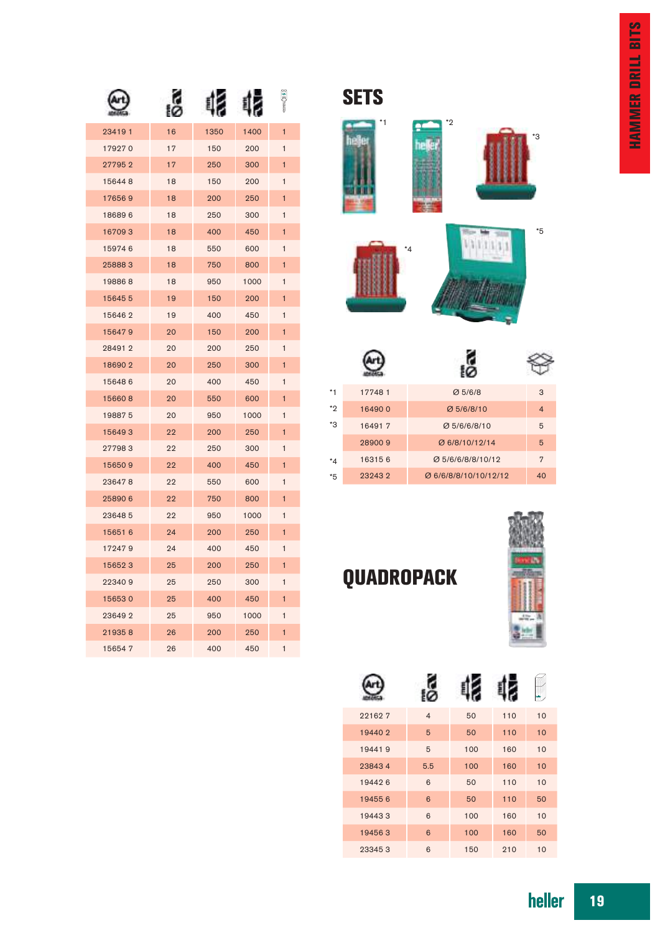|        |    |      |      | ē              |
|--------|----|------|------|----------------|
| 234191 | 16 | 1350 | 1400 | $\mathbf{1}$   |
| 179270 | 17 | 150  | 200  | 1              |
| 277952 | 17 | 250  | 300  | 1              |
| 156448 | 18 | 150  | 200  | 1              |
| 176569 | 18 | 200  | 250  | 1              |
| 186896 | 18 | 250  | 300  | $\mathbf{1}$   |
| 167093 | 18 | 400  | 450  | 1              |
| 159746 | 18 | 550  | 600  | $\mathbf{1}$   |
| 258883 | 18 | 750  | 800  | $\blacksquare$ |
| 198868 | 18 | 950  | 1000 | 1              |
| 156455 | 19 | 150  | 200  | 1              |
| 156462 | 19 | 400  | 450  | 1              |
| 156479 | 20 | 150  | 200  | 1              |
| 284912 | 20 | 200  | 250  | 1              |
| 186902 | 20 | 250  | 300  | 1              |
| 156486 | 20 | 400  | 450  | 1              |
| 156608 | 20 | 550  | 600  | 1              |
| 198875 | 20 | 950  | 1000 | 1              |
| 156493 | 22 | 200  | 250  | 1              |
| 277983 | 22 | 250  | 300  | $\mathbf{1}$   |
| 156509 | 22 | 400  | 450  | $\mathbf{1}$   |
| 236478 | 22 | 550  | 600  | 1              |
| 258906 | 22 | 750  | 800  | $\mathbf{1}$   |
| 236485 | 22 | 950  | 1000 | 1              |
| 156516 | 24 | 200  | 250  | 1              |
| 172479 | 24 | 400  | 450  | 1              |
| 156523 | 25 | 200  | 250  | $\mathbf{1}$   |
| 223409 | 25 | 250  | 300  | 1              |
| 156530 | 25 | 400  | 450  | 1              |
| 236492 | 25 | 950  | 1000 | 1              |
| 219358 | 26 | 200  | 250  | 1              |
| 156547 | 26 | 400  | 450  | 1              |

### **SETS**



| 177481 | Ø5/6/8                | 3              |
|--------|-----------------------|----------------|
| 164900 | Ø 5/6/8/10            | $\overline{4}$ |
| 164917 | Ø 5/6/6/8/10          | 5              |
| 289009 | Ø 6/8/10/12/14        | 5              |
| 163156 | Ø 5/6/6/8/8/10/12     | $\overline{7}$ |
| 232432 | Ø 6/6/8/8/10/10/12/12 | 40             |
|        |                       |                |



### QUADROPACK

|        |                |     |     | NН |
|--------|----------------|-----|-----|----|
| 221627 | $\overline{4}$ | 50  | 110 | 10 |
| 194402 | 5              | 50  | 110 | 10 |
| 194419 | 5              | 100 | 160 | 10 |
| 238434 | 5.5            | 100 | 160 | 10 |
| 194426 | 6              | 50  | 110 | 10 |
| 194556 | 6              | 50  | 110 | 50 |
| 194433 | 6              | 100 | 160 | 10 |
| 194563 | 6              | 100 | 160 | 50 |
| 233453 | 6              | 150 | 210 | 10 |